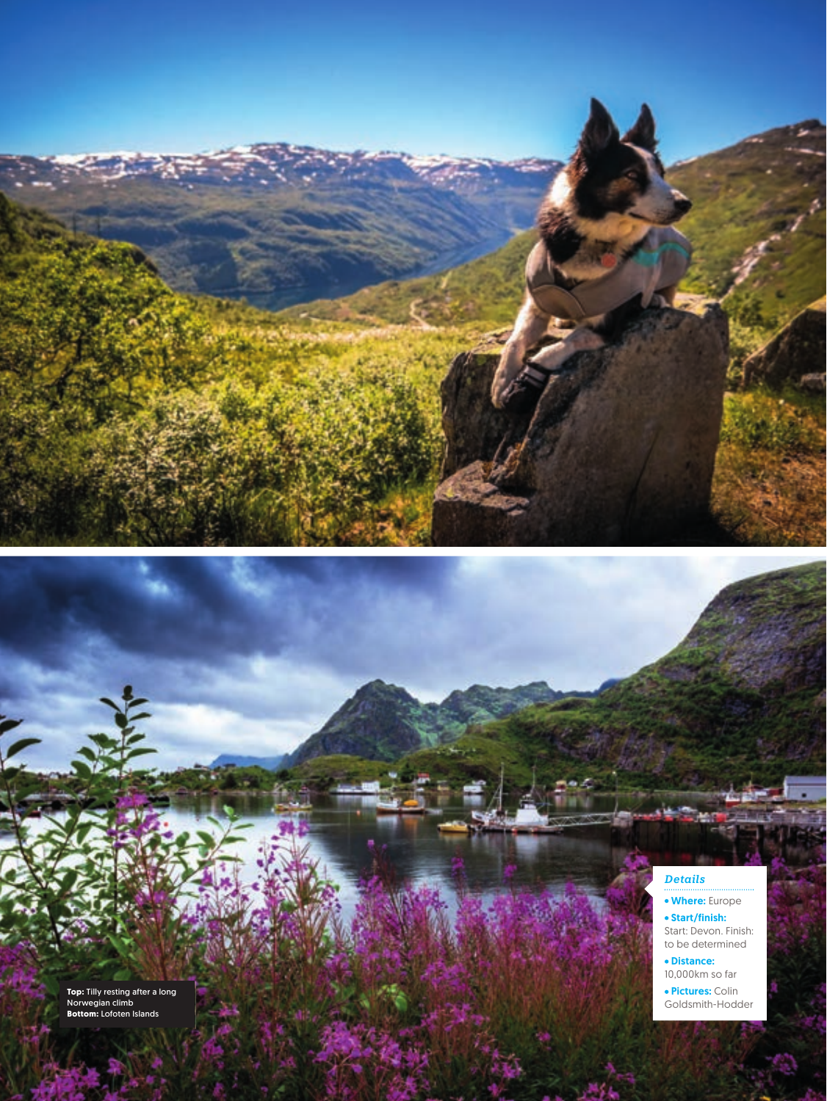## *Details*

Where: Europe Start/finish: Start: Devon. Finish: to be determined

 Distance: 10,000km so far

Pictures: Colin Goldsmith-Hodder

**Top:** Tilly resting after a long Norwegian climb **Bottom:** Lofoten Islands

/MARCH 2019

**36** cycle FEBRUARY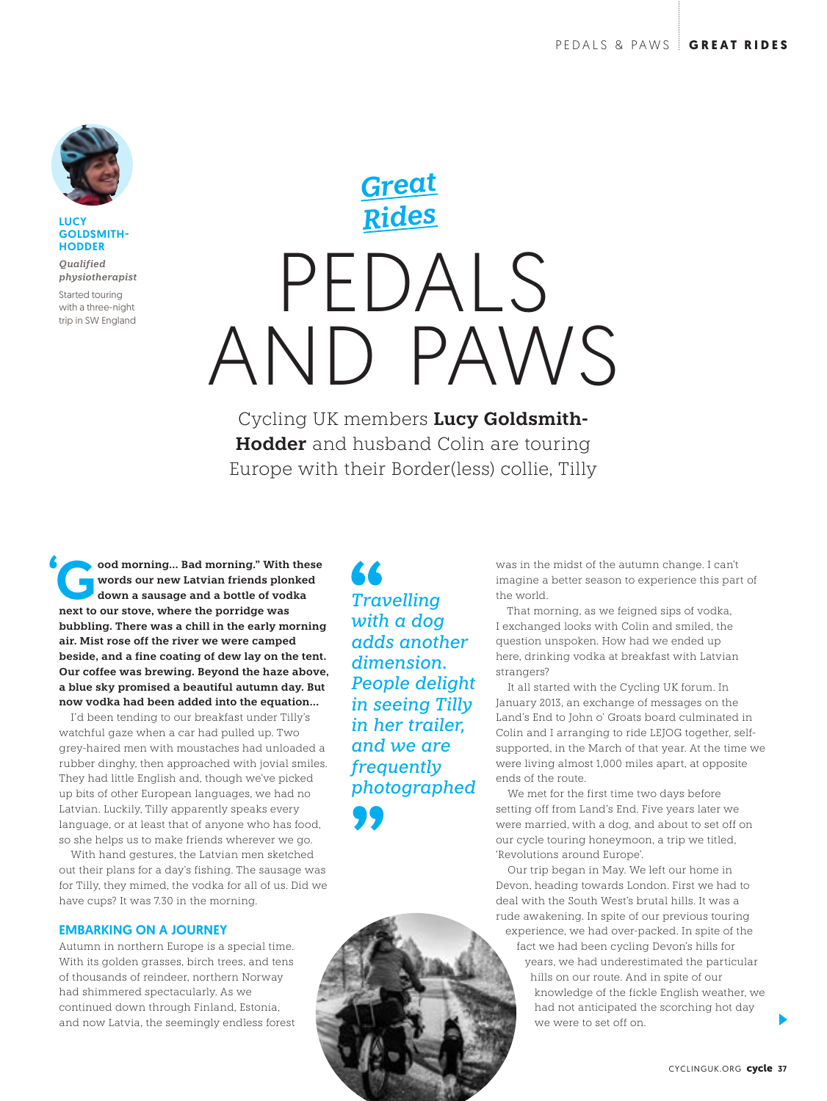

LUCY GOLDSMITH-**HODDER** 

*Qualified physiotherapist*

Started touring with a three-night trip in SW England

# PEDALS AND PAWS *Great Rides*

Cycling UK members **Lucy Goldsmith-Hodder** and husband Colin are touring Europe with their Border(less) collie, Tilly

ood morning... Bad morning." With these<br>words our new Latvian friends plonked<br>down a sausage and a bottle of vodka<br>now to our stars, where the portides was **words our new Latvian friends plonked down a sausage and a bottle of vodka next to our stove, where the porridge was bubbling. There was a chill in the early morning air. Mist rose off the river we were camped beside, and a fine coating of dew lay on the tent. Our coffee was brewing. Beyond the haze above, a blue sky promised a beautiful autumn day. But now vodka had been added into the equation…**

I'd been tending to our breakfast under Tilly's watchful gaze when a car had pulled up. Two grey-haired men with moustaches had unloaded a rubber dinghy, then approached with jovial smiles. They had little English and, though we've picked up bits of other European languages, we had no Latvian. Luckily, Tilly apparently speaks every language, or at least that of anyone who has food, so she helps us to make friends wherever we go.

With hand gestures, the Latvian men sketched out their plans for a day's fishing. The sausage was for Tilly, they mimed, the vodka for all of us. Did we have cups? It was 7.30 in the morning.

## EMBARKING ON A JOURNEY

Autumn in northern Europe is a special time. With its golden grasses, birch trees, and tens of thousands of reindeer, northern Norway had shimmered spectacularly. As we continued down through Finland, Estonia, and now Latvia, the seemingly endless forest

*Travelling with a dog adds another dimension. People delight in seeing Tilly in her trailer, and we are frequently photographed* was in the midst of the autumn change. I can't imagine a better season to experience this part of the world.

That morning, as we feigned sips of vodka, I exchanged looks with Colin and smiled, the question unspoken. How had we ended up here, drinking vodka at breakfast with Latvian strangers?

It all started with the Cycling UK forum. In January 2013, an exchange of messages on the Land's End to John o' Groats board culminated in Colin and I arranging to ride LEJOG together, selfsupported, in the March of that year. At the time we were living almost 1,000 miles apart, at opposite ends of the route.

We met for the first time two days before setting off from Land's End. Five years later we were married, with a dog, and about to set off on our cycle touring honeymoon, a trip we titled, 'Revolutions around Europe'.

Our trip began in May. We left our home in Devon, heading towards London. First we had to deal with the South West's brutal hills. It was a rude awakening. In spite of our previous touring experience, we had over-packed. In spite of the fact we had been cycling Devon's hills for years, we had underestimated the particular hills on our route. And in spite of our knowledge of the fickle English weather, we had not anticipated the scorching hot day we were to set off on.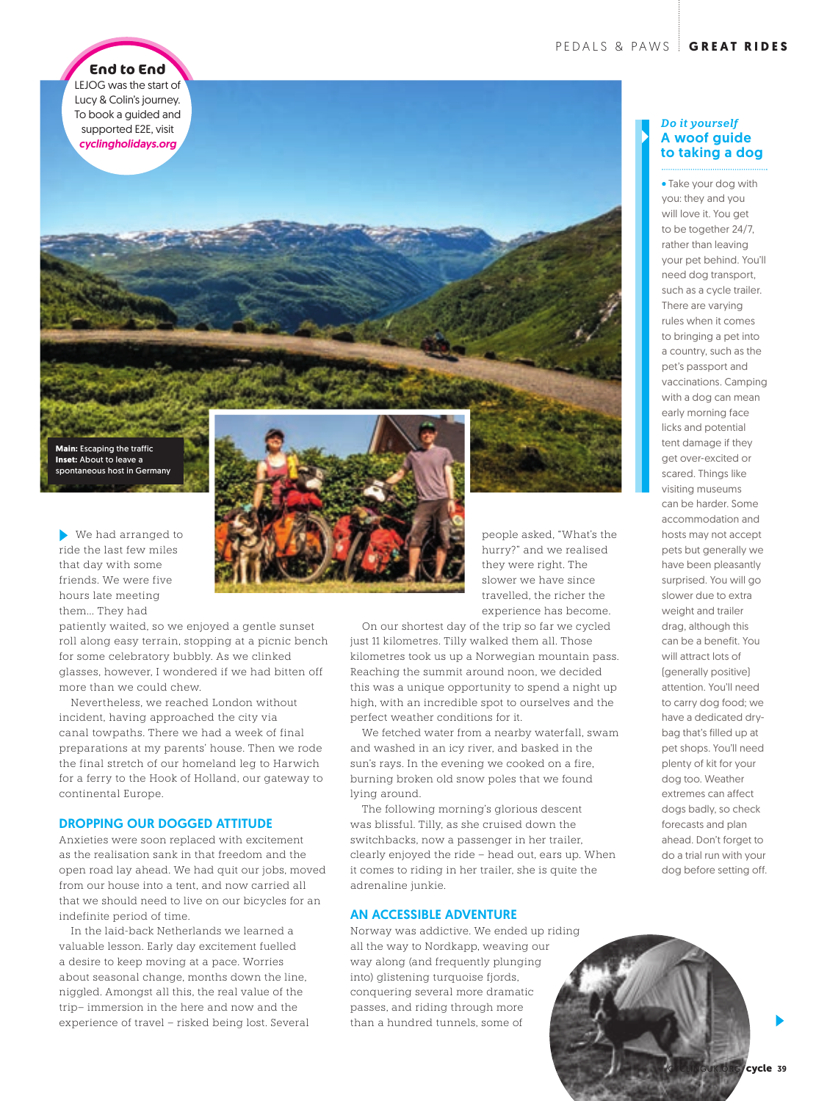**End to End** LEJOG was the start of Lucy & Colin's journey. To book a guided and supported E2E, visit *cyclingholidays.org*

**Main:** Escaping the traffic **Inset:** About to leave a spontaneous host in Germany

We had arranged to ride the last few miles that day with some friends. We were five hours late meeting them… They had

patiently waited, so we enjoyed a gentle sunset roll along easy terrain, stopping at a picnic bench for some celebratory bubbly. As we clinked glasses, however, I wondered if we had bitten off more than we could chew.

Nevertheless, we reached London without incident, having approached the city via canal towpaths. There we had a week of final preparations at my parents' house. Then we rode the final stretch of our homeland leg to Harwich for a ferry to the Hook of Holland, our gateway to continental Europe.

## DROPPING OUR DOGGED ATTITUDE

Anxieties were soon replaced with excitement as the realisation sank in that freedom and the open road lay ahead. We had quit our jobs, moved from our house into a tent, and now carried all that we should need to live on our bicycles for an indefinite period of time.

In the laid-back Netherlands we learned a valuable lesson. Early day excitement fuelled a desire to keep moving at a pace. Worries about seasonal change, months down the line, niggled. Amongst all this, the real value of the trip– immersion in the here and now and the experience of travel – risked being lost. Several



people asked, "What's the hurry?" and we realised they were right. The slower we have since travelled, the richer the experience has become.

On our shortest day of the trip so far we cycled just 11 kilometres. Tilly walked them all. Those kilometres took us up a Norwegian mountain pass. Reaching the summit around noon, we decided this was a unique opportunity to spend a night up high, with an incredible spot to ourselves and the perfect weather conditions for it.

We fetched water from a nearby waterfall, swam and washed in an icy river, and basked in the sun's rays. In the evening we cooked on a fire, burning broken old snow poles that we found lying around.

The following morning's glorious descent was blissful. Tilly, as she cruised down the switchbacks, now a passenger in her trailer, clearly enjoyed the ride – head out, ears up. When it comes to riding in her trailer, she is quite the adrenaline junkie.

### AN ACCESSIBLE ADVENTURE

Norway was addictive. We ended up riding all the way to Nordkapp, weaving our way along (and frequently plunging into) glistening turquoise fjords, conquering several more dramatic passes, and riding through more than a hundred tunnels, some of

## *Do it yourself* A woof guide to taking a dog

Take your dog with you: they and you will love it. You get to be together 24/7, rather than leaving your pet behind. You'll need dog transport, such as a cycle trailer. There are varying rules when it comes to bringing a pet into a country, such as the pet's passport and vaccinations. Camping with a dog can mean early morning face licks and potential tent damage if they get over-excited or scared. Things like visiting museums can be harder. Some accommodation and hosts may not accept pets but generally we have been pleasantly surprised. You will go slower due to extra weight and trailer drag, although this can be a benefit. You will attract lots of (generally positive) attention. You'll need to carry dog food; we have a dedicated drybag that's filled up at pet shops. You'll need plenty of kit for your dog too. Weather extremes can affect dogs badly, so check forecasts and plan ahead. Don't forget to do a trial run with your dog before setting off.